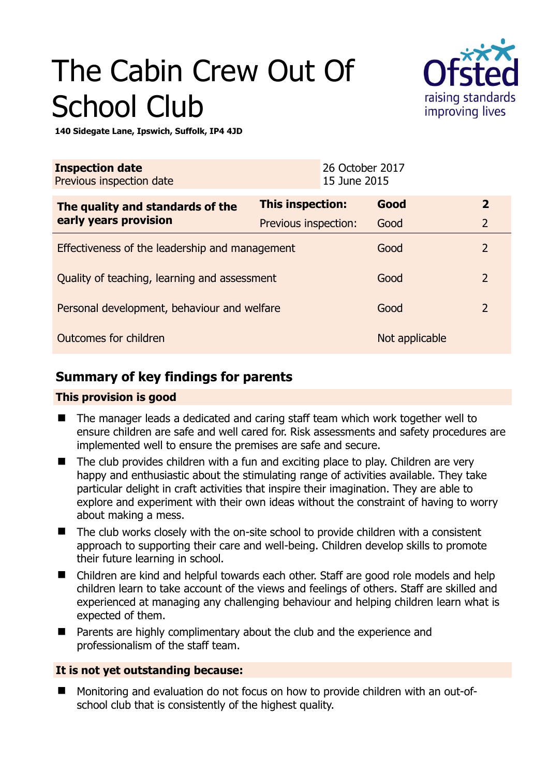# The Cabin Crew Out Of School Club



**140 Sidegate Lane, Ipswich, Suffolk, IP4 4JD** 

| <b>Inspection date</b><br>Previous inspection date        |                      | 26 October 2017<br>15 June 2015 |                |                |
|-----------------------------------------------------------|----------------------|---------------------------------|----------------|----------------|
| The quality and standards of the<br>early years provision | This inspection:     |                                 | Good           | $\overline{2}$ |
|                                                           | Previous inspection: |                                 | Good           | $\overline{2}$ |
| Effectiveness of the leadership and management            |                      |                                 | Good           | $\overline{2}$ |
| Quality of teaching, learning and assessment              |                      |                                 | Good           | $\overline{2}$ |
| Personal development, behaviour and welfare               |                      |                                 | Good           | $\overline{2}$ |
| Outcomes for children                                     |                      |                                 | Not applicable |                |

## **Summary of key findings for parents**

#### **This provision is good**

- The manager leads a dedicated and caring staff team which work together well to ensure children are safe and well cared for. Risk assessments and safety procedures are implemented well to ensure the premises are safe and secure.
- $\blacksquare$  The club provides children with a fun and exciting place to play. Children are very happy and enthusiastic about the stimulating range of activities available. They take particular delight in craft activities that inspire their imagination. They are able to explore and experiment with their own ideas without the constraint of having to worry about making a mess.
- The club works closely with the on-site school to provide children with a consistent approach to supporting their care and well-being. Children develop skills to promote their future learning in school.
- Children are kind and helpful towards each other. Staff are good role models and help children learn to take account of the views and feelings of others. Staff are skilled and experienced at managing any challenging behaviour and helping children learn what is expected of them.
- Parents are highly complimentary about the club and the experience and professionalism of the staff team.

### **It is not yet outstanding because:**

 Monitoring and evaluation do not focus on how to provide children with an out-ofschool club that is consistently of the highest quality.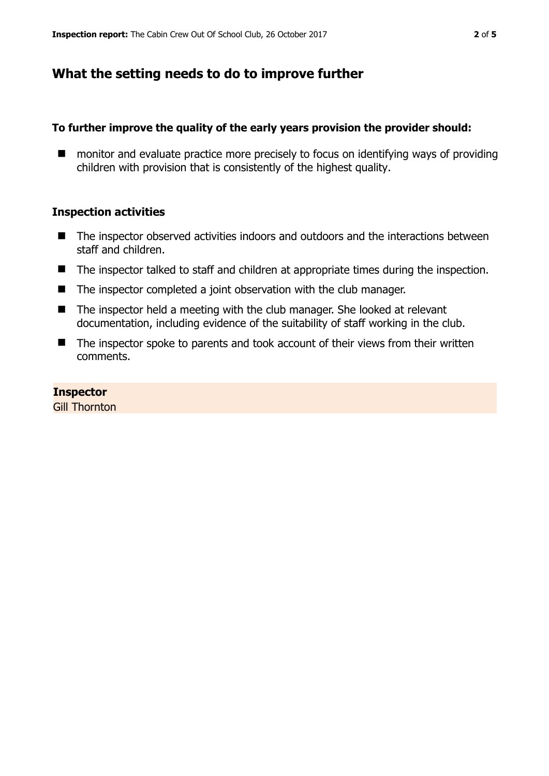## **What the setting needs to do to improve further**

#### **To further improve the quality of the early years provision the provider should:**

■ monitor and evaluate practice more precisely to focus on identifying ways of providing children with provision that is consistently of the highest quality.

#### **Inspection activities**

- The inspector observed activities indoors and outdoors and the interactions between staff and children.
- The inspector talked to staff and children at appropriate times during the inspection.
- The inspector completed a joint observation with the club manager.
- The inspector held a meeting with the club manager. She looked at relevant documentation, including evidence of the suitability of staff working in the club.
- The inspector spoke to parents and took account of their views from their written comments.

#### **Inspector**

Gill Thornton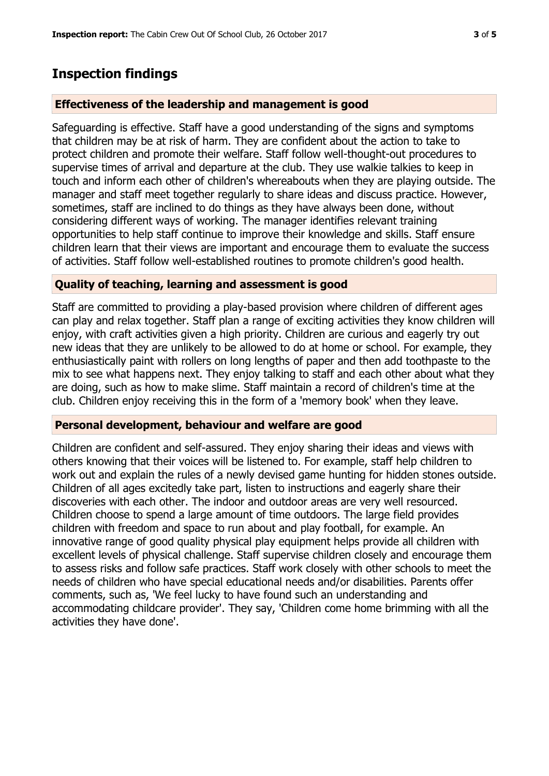## **Inspection findings**

#### **Effectiveness of the leadership and management is good**

Safeguarding is effective. Staff have a good understanding of the signs and symptoms that children may be at risk of harm. They are confident about the action to take to protect children and promote their welfare. Staff follow well-thought-out procedures to supervise times of arrival and departure at the club. They use walkie talkies to keep in touch and inform each other of children's whereabouts when they are playing outside. The manager and staff meet together regularly to share ideas and discuss practice. However, sometimes, staff are inclined to do things as they have always been done, without considering different ways of working. The manager identifies relevant training opportunities to help staff continue to improve their knowledge and skills. Staff ensure children learn that their views are important and encourage them to evaluate the success of activities. Staff follow well-established routines to promote children's good health.

#### **Quality of teaching, learning and assessment is good**

Staff are committed to providing a play-based provision where children of different ages can play and relax together. Staff plan a range of exciting activities they know children will enjoy, with craft activities given a high priority. Children are curious and eagerly try out new ideas that they are unlikely to be allowed to do at home or school. For example, they enthusiastically paint with rollers on long lengths of paper and then add toothpaste to the mix to see what happens next. They enjoy talking to staff and each other about what they are doing, such as how to make slime. Staff maintain a record of children's time at the club. Children enjoy receiving this in the form of a 'memory book' when they leave.

#### **Personal development, behaviour and welfare are good**

Children are confident and self-assured. They enjoy sharing their ideas and views with others knowing that their voices will be listened to. For example, staff help children to work out and explain the rules of a newly devised game hunting for hidden stones outside. Children of all ages excitedly take part, listen to instructions and eagerly share their discoveries with each other. The indoor and outdoor areas are very well resourced. Children choose to spend a large amount of time outdoors. The large field provides children with freedom and space to run about and play football, for example. An innovative range of good quality physical play equipment helps provide all children with excellent levels of physical challenge. Staff supervise children closely and encourage them to assess risks and follow safe practices. Staff work closely with other schools to meet the needs of children who have special educational needs and/or disabilities. Parents offer comments, such as, 'We feel lucky to have found such an understanding and accommodating childcare provider'. They say, 'Children come home brimming with all the activities they have done'.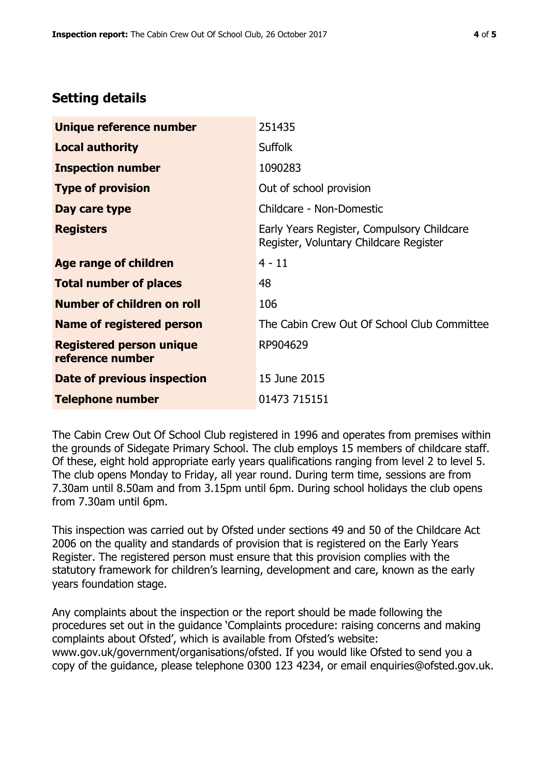## **Setting details**

| Unique reference number                             | 251435                                                                               |  |  |
|-----------------------------------------------------|--------------------------------------------------------------------------------------|--|--|
| <b>Local authority</b>                              | <b>Suffolk</b>                                                                       |  |  |
| <b>Inspection number</b>                            | 1090283                                                                              |  |  |
| <b>Type of provision</b>                            | Out of school provision                                                              |  |  |
| Day care type                                       | Childcare - Non-Domestic                                                             |  |  |
| <b>Registers</b>                                    | Early Years Register, Compulsory Childcare<br>Register, Voluntary Childcare Register |  |  |
| Age range of children                               | $4 - 11$                                                                             |  |  |
| <b>Total number of places</b>                       | 48                                                                                   |  |  |
| Number of children on roll                          | 106                                                                                  |  |  |
| <b>Name of registered person</b>                    | The Cabin Crew Out Of School Club Committee                                          |  |  |
| <b>Registered person unique</b><br>reference number | RP904629                                                                             |  |  |
| <b>Date of previous inspection</b>                  | 15 June 2015                                                                         |  |  |
| <b>Telephone number</b>                             | 01473 715151                                                                         |  |  |

The Cabin Crew Out Of School Club registered in 1996 and operates from premises within the grounds of Sidegate Primary School. The club employs 15 members of childcare staff. Of these, eight hold appropriate early years qualifications ranging from level 2 to level 5. The club opens Monday to Friday, all year round. During term time, sessions are from 7.30am until 8.50am and from 3.15pm until 6pm. During school holidays the club opens from 7.30am until 6pm.

This inspection was carried out by Ofsted under sections 49 and 50 of the Childcare Act 2006 on the quality and standards of provision that is registered on the Early Years Register. The registered person must ensure that this provision complies with the statutory framework for children's learning, development and care, known as the early years foundation stage.

Any complaints about the inspection or the report should be made following the procedures set out in the guidance 'Complaints procedure: raising concerns and making complaints about Ofsted', which is available from Ofsted's website: www.gov.uk/government/organisations/ofsted. If you would like Ofsted to send you a copy of the guidance, please telephone 0300 123 4234, or email enquiries@ofsted.gov.uk.